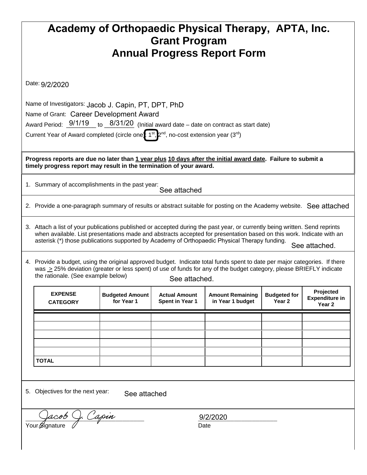| Academy of Orthopaedic Physical Therapy, APTA, Inc.                                                                                                                                                                                                                                                                                                                   |                                   |                                      |                                                |                                             |                                          |                                                         |  |  |  |  |
|-----------------------------------------------------------------------------------------------------------------------------------------------------------------------------------------------------------------------------------------------------------------------------------------------------------------------------------------------------------------------|-----------------------------------|--------------------------------------|------------------------------------------------|---------------------------------------------|------------------------------------------|---------------------------------------------------------|--|--|--|--|
| <b>Grant Program</b><br><b>Annual Progress Report Form</b>                                                                                                                                                                                                                                                                                                            |                                   |                                      |                                                |                                             |                                          |                                                         |  |  |  |  |
|                                                                                                                                                                                                                                                                                                                                                                       |                                   |                                      |                                                |                                             |                                          |                                                         |  |  |  |  |
| Date: 9/2/2020                                                                                                                                                                                                                                                                                                                                                        |                                   |                                      |                                                |                                             |                                          |                                                         |  |  |  |  |
| Name of Investigators: Jacob J. Capin, PT, DPT, PhD<br>Name of Grant: Career Development Award<br>Award Period: $\frac{9/1/19}{10}$ to $\frac{8/31/20}{10}$ (Initial award date – date on contract as start date)                                                                                                                                                     |                                   |                                      |                                                |                                             |                                          |                                                         |  |  |  |  |
| Current Year of Award completed (circle one): $1^{st}$ , $2^{nd}$ , no-cost extension year (3 <sup>rd</sup> )                                                                                                                                                                                                                                                         |                                   |                                      |                                                |                                             |                                          |                                                         |  |  |  |  |
| Progress reports are due no later than 1 year plus 10 days after the initial award date. Failure to submit a<br>timely progress report may result in the termination of your award.                                                                                                                                                                                   |                                   |                                      |                                                |                                             |                                          |                                                         |  |  |  |  |
| 1. Summary of accomplishments in the past year:<br>See attached                                                                                                                                                                                                                                                                                                       |                                   |                                      |                                                |                                             |                                          |                                                         |  |  |  |  |
| 2. Provide a one-paragraph summary of results or abstract suitable for posting on the Academy website. See attached                                                                                                                                                                                                                                                   |                                   |                                      |                                                |                                             |                                          |                                                         |  |  |  |  |
| 3. Attach a list of your publications published or accepted during the past year, or currently being written. Send reprints<br>when available. List presentations made and abstracts accepted for presentation based on this work. Indicate with an<br>asterisk (*) those publications supported by Academy of Orthopaedic Physical Therapy funding.<br>See attached. |                                   |                                      |                                                |                                             |                                          |                                                         |  |  |  |  |
| 4. Provide a budget, using the original approved budget. Indicate total funds spent to date per major categories. If there<br>was $\geq$ 25% deviation (greater or less spent) of use of funds for any of the budget category, please BRIEFLY indicate<br>the rationale. (See example below)<br>See attached.                                                         |                                   |                                      |                                                |                                             |                                          |                                                         |  |  |  |  |
|                                                                                                                                                                                                                                                                                                                                                                       | <b>EXPENSE</b><br><b>CATEGORY</b> | <b>Budgeted Amount</b><br>for Year 1 | <b>Actual Amount</b><br><b>Spent in Year 1</b> | <b>Amount Remaining</b><br>in Year 1 budget | <b>Budgeted for</b><br>Year <sub>2</sub> | Projected<br><b>Expenditure in</b><br>Year <sub>2</sub> |  |  |  |  |
|                                                                                                                                                                                                                                                                                                                                                                       |                                   |                                      |                                                |                                             |                                          |                                                         |  |  |  |  |
|                                                                                                                                                                                                                                                                                                                                                                       |                                   |                                      |                                                |                                             |                                          |                                                         |  |  |  |  |
|                                                                                                                                                                                                                                                                                                                                                                       |                                   |                                      |                                                |                                             |                                          |                                                         |  |  |  |  |
| <b>TOTAL</b>                                                                                                                                                                                                                                                                                                                                                          |                                   |                                      |                                                |                                             |                                          |                                                         |  |  |  |  |
| 5. Objectives for the next year:<br>See attached                                                                                                                                                                                                                                                                                                                      |                                   |                                      |                                                |                                             |                                          |                                                         |  |  |  |  |
| ). Capin<br>'acob (<br>9/2/2020<br>Your Signature<br>Date                                                                                                                                                                                                                                                                                                             |                                   |                                      |                                                |                                             |                                          |                                                         |  |  |  |  |
|                                                                                                                                                                                                                                                                                                                                                                       |                                   |                                      |                                                |                                             |                                          |                                                         |  |  |  |  |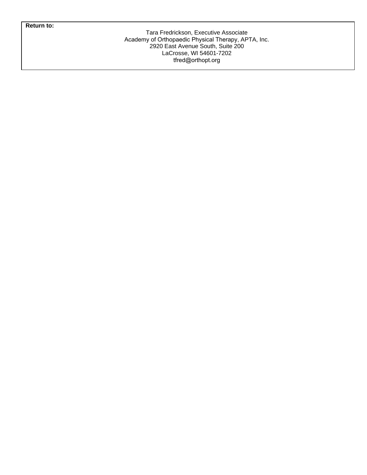**Return to:**

Tara Fredrickson, Executive Associate Academy of Orthopaedic Physical Therapy, APTA, Inc. 2920 East Avenue South, Suite 200 LaCrosse, WI 54601-7202 tfred@orthopt.org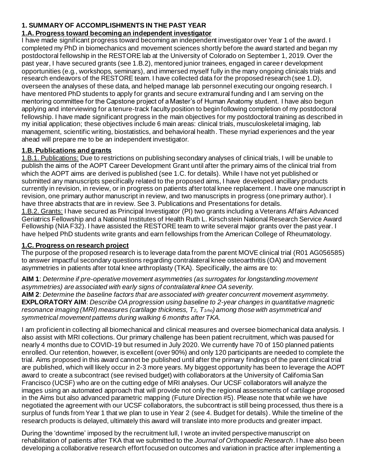#### **1. SUMMARY OF ACCOMPLISHMENTS IN THE PAST YEAR**

#### **1.A. Progress toward becoming an independent investigator**

I have made significant progress toward becoming an independent investigator over Year 1 of the award. I completed my PhD in biomechanics and movement sciences shortly before the award started and began my postdoctoral fellowship in the RESTORE lab at the University of Colorado on September 1, 2019. Over the past year, I have secured grants (see 1.B.2), mentored junior trainees, engaged in career development opportunities (e.g., workshops, seminars), and immersed myself fully in the many ongoing clinicals trials and research endeavors of the RESTORE team. I have collected data for the proposed research (see 1.D), overseen the analyses of these data, and helped manage lab personnel executing our ongoing research. I have mentored PhD students to apply for grants and secure extramural funding and I am serving on the mentoring committee for the Capstone project of a Master's of Human Anatomy student. I have also begun applying and interviewing for a tenure-track faculty position to begin following completion of my postdoctoral fellowship. I have made significant progress in the main objectives for my postdoctoral training as described in my initial application; these objectives include 6 main areas: clinical trials, musculoskeletal imaging, lab management, scientific writing, biostatistics, and behavioral health. These myriad experiences and the year ahead will prepare me to be an independent investigator.

### **1.B. Publications and grants**

1.B.1. Publications: Due to restrictions on publishing secondary analyses of clinical trials, I will be unable to publish the aims of the AOPT Career Development Grant until after the primary aims of the clinical trial from which the AOPT aims are derived is published (see 1.C. for details). While I have not yet published or submitted any manuscripts specifically related to the proposed aims, I have developed ancillary products currently in revision, in review, or in progress on patients after total knee replacement. I have one manuscript in revision, one primary author manuscript in review, and two manuscripts in progress (one primary author). I have three abstracts that are in review. See 3. Publications and Presentations for details.

1.B.2. Grants: I have secured as Principal Investigator (PI) two grants including a Veterans Affairs Advanced Geriatrics Fellowship and a National Institutes of Health Ruth L. Kirschstein National Research Service Award Fellowship (NIA F32). I have assisted the RESTORE team to write several major grants over the past year. I have helped PhD students write grants and earn fellowships from the American College of Rheumatology.

#### **1.C. Progress on research project**

The purpose of the proposed research is to leverage data from the parent MOVE clinical trial (R01 AG056585) to answer impactful secondary questions regarding contralateral knee osteoarthritis (OA) and movement asymmetries in patients after total knee arthroplasty (TKA). Specifically, the aims are to:

**AIM 1**: *Determine if pre-operative movement asymmetries (as surrogates for longstanding movement asymmetries) are associated with early signs of contralateral knee OA severity.*

**AIM 2**: *Determine the baseline factors that are associated with greater concurrent movement asymmetry.* **EXPLORATORY AIM**: *Describe OA progression using baseline to 2-year changes in quantitative magnetic resonance imaging (MRI) measures (cartilage thickness, T2, T1rho) among those with asymmetrical and symmetrical movement patterns during walking 6 months after TKA.* 

I am proficient in collecting all biomechanical and clinical measures and oversee biomechanical data analysis. I also assist with MRI collections. Our primary challenge has been patient recruitment, which was paused for nearly 4 months due to COVID-19 but resumed in July 2020. We currently have 70 of 150 planned patients enrolled. Our retention, however, is excellent (over 90%) and only 120 participants are needed to complete the trial. Aims proposed in this award cannot be published until after the primary findings of the parent clinical trial are published, which will likely occur in 2-3 more years. My biggest opportunity has been to leverage the AOPT award to create a subcontract (see revised budget) with collaborators at the University of California San Francisco (UCSF) who are on the cutting edge of MRI analyses. Our UCSF collaborators will analyze the images using an automated approach that will provide not only the regional assessments of cartilage proposed in the Aims but also advanced parametric mapping (Future Direction #5). Please note that while we have negotiated the agreement with our UCSF collaborators, the subcontract is still being processed, thus there is a surplus of funds from Year 1 that we plan to use in Year 2 (see 4. Budget for details). While the timeline of the research products is delayed, ultimately this award will translate into more products and greater impact.

During the 'downtime' imposed by the recruitment lull, I wrote an invited perspective manuscript on rehabilitation of patients after TKA that we submitted to the *Journal of Orthopaedic Research*. I have also been developing a collaborative research effort focused on outcomes and variation in practice after implementing a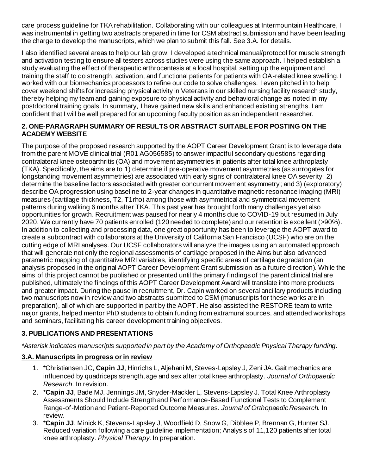care process guideline for TKA rehabilitation. Collaborating with our colleagues at Intermountain Healthcare, I was instrumental in getting two abstracts prepared in time for CSM abstract submission and have been leading the charge to develop the manuscripts, which we plan to submit this fall. See 3.A. for details.

I also identified several areas to help our lab grow. I developed a technical manual/protocol for muscle strength and activation testing to ensure all testers across studies were using the same approach. I helped establish a study evaluating the effect of therapeutic arthrocentesis at a local hospital, setting up the equipment and training the staff to do strength, activation, and functional patients for patients with OA-related knee swelling. I worked with our biomechanics processors to refine our code to solve challenges. I even pitched in to help cover weekend shifts for increasing physical activity in Veterans in our skilled nursing facility research study, thereby helping my team and gaining exposure to physical activity and behavioral change as noted in my postdoctoral training goals. In summary, I have gained new skills and enhanced existing strengths. I am confident that I will be well prepared for an upcoming faculty position as an independent researcher.

#### **2. ONE-PARAGRAPH SUMMARY OF RESULTS OR ABSTRACT SUITABLE FOR POSTING ON THE ACADEMY WEBSITE**

The purpose of the proposed research supported by the AOPT Career Development Grant is to leverage data from the parent MOVE clinical trial (R01 AG056585) to answer impactful secondary questions regarding contralateral knee osteoarthritis (OA) and movement asymmetries in patients after total knee arthroplasty (TKA). Specifically, the aims are to 1) determine if pre-operative movement asymmetries (as surrogates for longstanding movement asymmetries) are associated with early signs of contralateral knee OA severity; 2) determine the baseline factors associated with greater concurrent movement asymmetry; and 3) (exploratory) describe OA progression using baseline to 2-year changes in quantitative magnetic resonance imaging (MRI) measures (cartilage thickness, T2, T1rho) among those with asymmetrical and symmetrical movement patterns during walking 6 months after TKA. This past year has brought forth many challenges yet also opportunities for growth. Recruitment was paused for nearly 4 months due to COVID-19 but resumed in July 2020. We currently have 70 patients enrolled (120 needed to complete) and our retention is excellent (>90%). In addition to collecting and processing data, one great opportunity has been to leverage the AOPT award to create a subcontract with collaborators at the University of California San Francisco (UCSF) who are on the cutting edge of MRI analyses. Our UCSF collaborators will analyze the images using an automated approach that will generate not only the regional assessments of cartilage proposed in the Aims but also advanced parametric mapping of quantitative MRI variables, identifying specific areas of cartilage degradation (an analysis proposed in the original AOPT Career Development Grant submission as a future direction). While the aims of this project cannot be published or presented until the primary findings of the parent clinical trial are published, ultimately the findings of this AOPT Career Development Award will translate into more products and greater impact. During the pause in recruitment, Dr. Capin worked on several ancillary products including two manuscripts now in review and two abstracts submitted to CSM (manuscripts for these works are in preparation), all of which are supported in part by the AOPT. He also assisted the RESTORE team to write major grants, helped mentor PhD students to obtain funding from extramural sources, and attended workshops and seminars, facilitating his career development training objectives.

## **3. PUBLICATIONS AND PRESENTATIONS**

*\*Asterisk indicates manuscripts supported in part by the Academy of Orthopaedic Physical Therapy funding.*

#### **3.A. Manuscripts in progress or in review**

- 1. \*Christiansen JC, **Capin JJ**, Hinrichs L, Aljehani M, Steves-Lapsley J, Zeni JA. Gait mechanics are influenced by quadriceps strength, age and sex after total knee arthroplasty. *Journal of Orthopaedic Research.* In revision.
- 2. \***Capin JJ**, Bade MJ, Jennings JM, Snyder-Mackler L, Stevens-Lapsley J. Total Knee Arthroplasty Assessments Should Include Strength and Performance-Based Functional Tests to Complement Range-of-Motion and Patient-Reported Outcome Measures. *Journal of Orthopaedic Research.* In review.
- 3. \***Capin JJ**, Minick K, Stevens-Lapsley J, Woodfield D, Snow G, Dibblee P, Brennan G, Hunter SJ. Reduced variation following a care guideline implementation; Analysis of 11,120 patients after total knee arthroplasty. *Physical Therapy.* In preparation.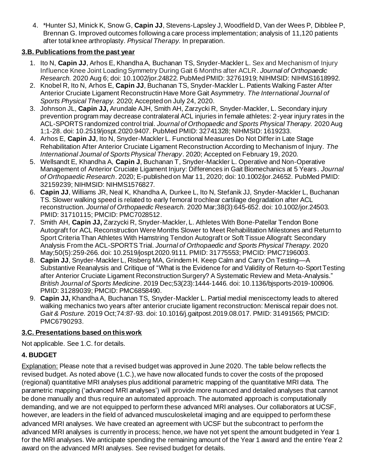4. \*Hunter SJ, Minick K, Snow G, **Capin JJ**, Stevens-Lapsley J, Woodfield D, Van der Wees P, Dibblee P, Brennan G. Improved outcomes following a care process implementation; analysis of 11,120 patients after total knee arthroplasty. *Physical Therapy.* In preparation.

## **3.B. Publications from the past year**

- 1. Ito N, **Capin JJ**, Arhos E, Khandha A, Buchanan TS, Snyder-Mackler L. Sex and Mechanism of Injury Influence Knee Joint Loading Symmetry During Gait 6 Months after ACLR. *Journal of Orthopaedic Research.* 2020 Aug 6; doi: 10.1002/jor.24822. PubMed PMID: 32761919; NIHMSID: NIHMS1618992.
- 2. Knobel R, Ito N, Arhos E, **Capin JJ**, Buchanan TS, Snyder-Mackler L. Patients Walking Faster After Anterior Cruciate Ligament Reconstructin Have More Gait Asymmetry. *The International Journal of Sports Physical Therapy.* 2020; Accepted on July 24, 2020.
- 3. Johnson JL, **Capin JJ,** Arundale AJH, Smith AH, Zarzycki R, Snyder-Mackler, L. Secondary injury prevention program may decrease contralateral ACL injuries in female athletes: 2-year injury rates in the ACL-SPORTS randomized control trial. *Journal of Orthopaedic and Sports Physical Therapy.* 2020 Aug 1;1-28. doi: 10.2519/jospt.2020.9407. PubMed PMID: 32741328; NIHMSID: 1619233.
- 4. Arhos E, **Capin JJ**, Ito N, Snyder-Mackler L. Functional Measures Do Not Differ in Late Stage Rehabilitation After Anterior Cruciate Ligament Reconstruction According to Mechanism of Injury. *The International Journal of Sports Physical Therapy*. 2020; Accepted on February 19, 2020.
- 5. Wellsandt E, Khandha A, **Capin J**, Buchanan T, Snyder-Mackler L. Operative and Non-Operative Management of Anterior Cruciate Ligament Injury: Differences in Gait Biomechanics at 5 Years. *Journal of Orthopaedic Research*. 2020; E-published on Mar 11, 2020; doi: 10.1002/jor.24652. PubMed PMID: 32159239; NIHMSID: NIHMS1576827.
- 6. **Capin JJ**, Williams JR, Neal K, Khandha A, Durkee L, Ito N, Stefanik JJ, Snyder-Mackler L, Buchanan TS. Slower walking speed is related to early femoral trochlear cartilage degradation after ACL reconstruction. *Journal of Orthopaedic Research.* 2020 Mar;38(3):645-652. doi: 10.1002/jor.24503. PMID: 31710115; PMCID: PMC7028512.
- 7. Smith AH, **Capin JJ,** Zarzycki R, Snyder-Mackler, L. Athletes With Bone-Patellar Tendon Bone Autograft for ACL Reconstruction Were Months Slower to Meet Rehabilitation Milestones and Return to Sport Criteria Than Athletes With Hamstring Tendon Autograft or Soft Tissue Allograft: Secondary Analysis From the ACL-SPORTS Trial. *Journal of Orthopaedic and Sports Physical Therapy.* 2020 May;50(5):259-266. doi: 10.2519/jospt.2020.9111. PMID: 31775553; PMCID: PMC7196003.
- 8. **Capin JJ**, Snyder-Mackler L, Risberg MA, Grindem H. Keep Calm and Carry On Testing—A Substantive Reanalysis and Critique of "What is the Evidence for and Validity of Return-to-Sport Testing after Anterior Cruciate Ligament Reconstruction Surgery? A Systematic Review and Meta-Analysis." *British Journal of Sports Medicine*. 2019 Dec;53(23):1444-1446. doi: 10.1136/bjsports-2019-100906. PMID: 31289039; PMCID: PMC6858490.
- 9. **Capin JJ,** Khandha A, Buchanan TS, Snyder-Mackler L. Partial medial meniscectomy leads to altered walking mechanics two years after anterior cruciate ligament reconstruction: Meniscal repair does not. *Gait & Posture.* 2019 Oct;74:87-93. doi: 10.1016/j.gaitpost.2019.08.017. PMID: 31491565; PMCID: PMC6790293.

## **3.C. Presentations based on this work**

Not applicable. See 1.C. for details.

# **4. BUDGET**

**Explanation:** Please note that a revised budget was approved in June 2020. The table below reflects the revised budget. As noted above (1.C.), we have now allocated funds to cover the costs of the proposed (regional) quantitative MRI analyses plus additional parametric mapping of the quantitative MRI data. The parametric mapping ('advanced MRI analyses') will provide more nuanced and detailed analyses that cannot be done manually and thus require an automated approach. The automated approach is computationally demanding, and we are not equipped to perform these advanced MRI analyses. Our collaborators at UCSF, however, are leaders in the field of advanced musculoskeletal imaging and are equipped to perform these advanced MRI analyses. We have created an agreement with UCSF but the subcontract to perform the advanced MRI analyses is currently in process; hence, we have not yet spent the amount budgeted in Year 1 for the MRI analyses. We anticipate spending the remaining amount of the Year 1 award and the entire Year 2 award on the advanced MRI analyses. See revised budget for details.